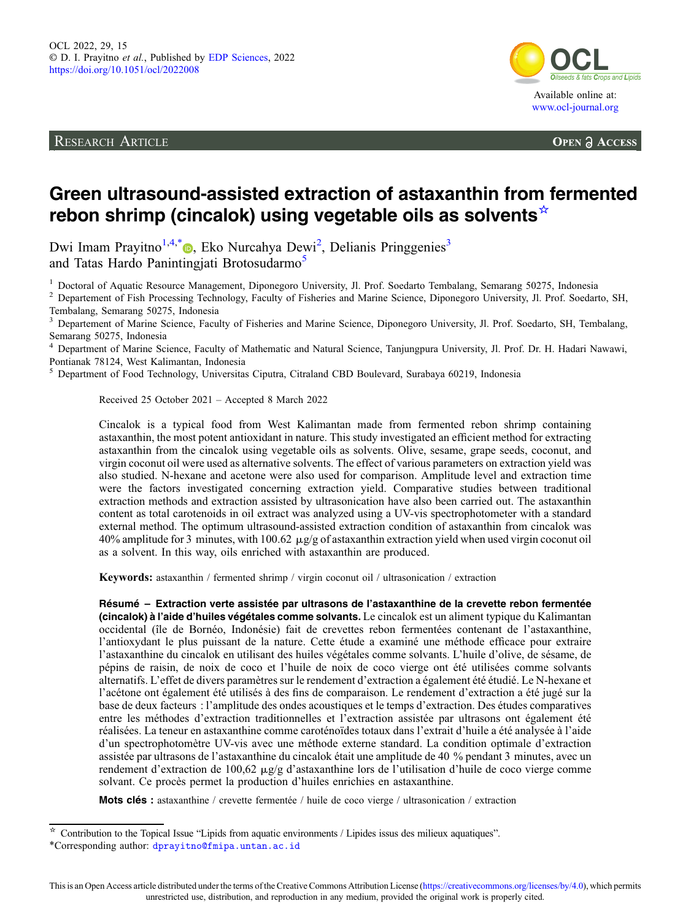RESEARCH ARTICLE



**OPEN A ACCESS** 

# Green ultrasound-assisted extraction of astaxanthin from fermented rebon shrimp (cincalok) using vegetable oils as solvents<sup>☆</sup>

Dwi Imam Prayitno<sup>1,4,[\\*](https://orcid.org/0000-0003-2196-5605)</sup> , Eko Nurcahya Dewi<sup>2</sup>, Delianis Pringgenies<sup>3</sup> and Tatas Hardo Panintingjati Brotosudarmo<sup>5</sup>

<sup>1</sup> Doctoral of Aquatic Resource Management, Diponegoro University, Jl. Prof. Soedarto Tembalang, Semarang 50275, Indonesia<br><sup>2</sup> Departement of Fish Processing Technology, Faculty of Fisheries and Marine Science, Diponegoro

Tembalang, Semarang 50275, Indonesia

<sup>3</sup> Departement of Marine Science, Faculty of Fisheries and Marine Science, Diponegoro University, Jl. Prof. Soedarto, SH, Tembalang, Semarang 50275, Indonesia

<sup>4</sup> Department of Marine Science, Faculty of Mathematic and Natural Science, Tanjungpura University, Jl. Prof. Dr. H. Hadari Nawawi, Pontianak 78124, West Kalimantan, Indonesia

<sup>5</sup> Department of Food Technology, Universitas Ciputra, Citraland CBD Boulevard, Surabaya 60219, Indonesia

Received 25 October 2021 – Accepted 8 March 2022

Cincalok is a typical food from West Kalimantan made from fermented rebon shrimp containing astaxanthin, the most potent antioxidant in nature. This study investigated an efficient method for extracting astaxanthin from the cincalok using vegetable oils as solvents. Olive, sesame, grape seeds, coconut, and virgin coconut oil were used as alternative solvents. The effect of various parameters on extraction yield was also studied. N-hexane and acetone were also used for comparison. Amplitude level and extraction time were the factors investigated concerning extraction yield. Comparative studies between traditional extraction methods and extraction assisted by ultrasonication have also been carried out. The astaxanthin content as total carotenoids in oil extract was analyzed using a UV-vis spectrophotometer with a standard external method. The optimum ultrasound-assisted extraction condition of astaxanthin from cincalok was 40% amplitude for 3 minutes, with 100.62  $\mu$ g/g of astaxanthin extraction yield when used virgin coconut oil as a solvent. In this way, oils enriched with astaxanthin are produced.

Keywords: astaxanthin / fermented shrimp / virgin coconut oil / ultrasonication / extraction

Résumé – Extraction verte assistée par ultrasons de l'astaxanthine de la crevette rebon fermentée (cincalok) à l'aide d'huiles végétales comme solvants. Le cincalok est un aliment typique du Kalimantan occidental (île de Bornéo, Indonésie) fait de crevettes rebon fermentées contenant de l'astaxanthine, l'antioxydant le plus puissant de la nature. Cette étude a examiné une méthode efficace pour extraire l'astaxanthine du cincalok en utilisant des huiles végétales comme solvants. L'huile d'olive, de sésame, de pépins de raisin, de noix de coco et l'huile de noix de coco vierge ont été utilisées comme solvants alternatifs. L'effet de divers paramètres sur le rendement d'extraction a également été étudié. Le N-hexane et l'acétone ont également été utilisés à des fins de comparaison. Le rendement d'extraction a été jugé sur la base de deux facteurs : l'amplitude des ondes acoustiques et le temps d'extraction. Des études comparatives entre les méthodes d'extraction traditionnelles et l'extraction assistée par ultrasons ont également été réalisées. La teneur en astaxanthine comme caroténoïdes totaux dans l'extrait d'huile a été analysée à l'aide d'un spectrophotomètre UV-vis avec une méthode externe standard. La condition optimale d'extraction assistée par ultrasons de l'astaxanthine du cincalok était une amplitude de 40 % pendant 3 minutes, avec un rendement d'extraction de 100,62  $\mu$ g/g d'astaxanthine lors de l'utilisation d'huile de coco vierge comme solvant. Ce procès permet la production d'huiles enrichies en astaxanthine.

Mots clés : astaxanthine / crevette fermentée / huile de coco vierge / ultrasonication / extraction

<sup>☆</sup> Contribution to the Topical Issue "Lipids from aquatic environments / Lipides issus des milieux aquatiques". \*Corresponding author: [dprayitno@fmipa.untan.ac.id](mailto:dprayitno@fmipa.untan.ac.id)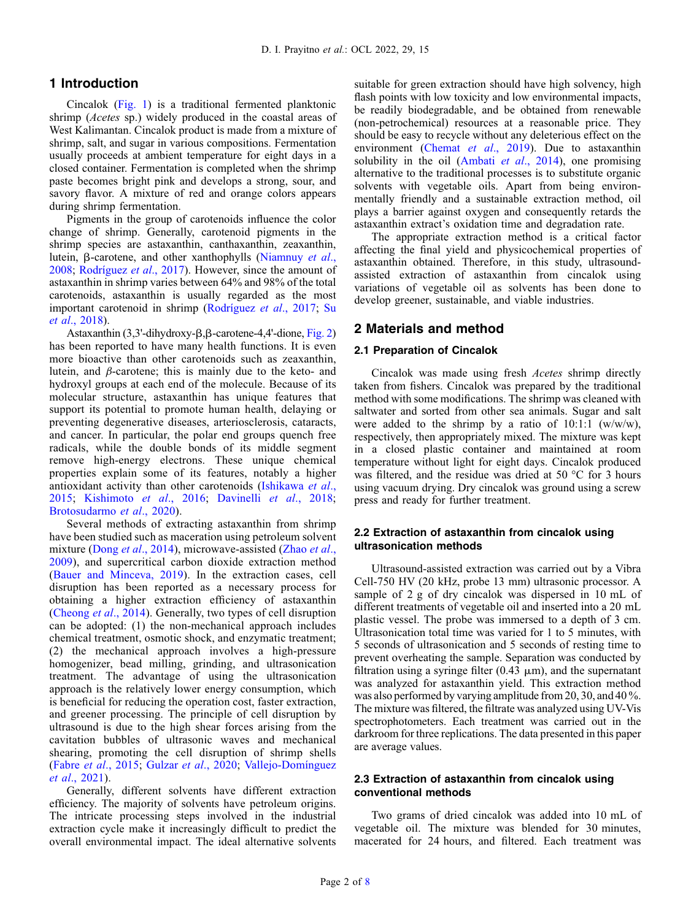## 1 Introduction

Cincalok ([Fig. 1](#page-2-0)) is a traditional fermented planktonic shrimp (Acetes sp.) widely produced in the coastal areas of West Kalimantan. Cincalok product is made from a mixture of shrimp, salt, and sugar in various compositions. Fermentation usually proceeds at ambient temperature for eight days in a closed container. Fermentation is completed when the shrimp paste becomes bright pink and develops a strong, sour, and savory flavor. A mixture of red and orange colors appears during shrimp fermentation.

Pigments in the group of carotenoids influence the color change of shrimp. Generally, carotenoid pigments in the shrimp species are astaxanthin, canthaxanthin, zeaxanthin, lutein, B-carotene, and other xanthophylls [\(Niamnuy](#page-7-0) et al., [2008](#page-7-0); [Rodríguez](#page-7-0) et al., 2017). However, since the amount of astaxanthin in shrimp varies between 64% and 98% of the total carotenoids, astaxanthin is usually regarded as the most important carotenoid in shrimp ([Rodríguez](#page-7-0) et al., 2017; [Su](#page-7-0) et al[., 2018](#page-7-0)).

Astaxanthin  $(3,3'-dihydroxy- $\beta$ , $\beta$ -carotene- $4$ , $4'-dione$ , Fig. 2)$  $(3,3'-dihydroxy- $\beta$ , $\beta$ -carotene- $4$ , $4'-dione$ , Fig. 2)$ has been reported to have many health functions. It is even more bioactive than other carotenoids such as zeaxanthin, lutein, and  $\beta$ -carotene; this is mainly due to the keto- and hydroxyl groups at each end of the molecule. Because of its molecular structure, astaxanthin has unique features that support its potential to promote human health, delaying or preventing degenerative diseases, arteriosclerosis, cataracts, and cancer. In particular, the polar end groups quench free radicals, while the double bonds of its middle segment remove high-energy electrons. These unique chemical properties explain some of its features, notably a higher antioxidant activity than other carotenoids ([Ishikawa](#page-6-0) et al., [2015;](#page-6-0) [Kishimoto](#page-7-0) et al., 2016; [Davinelli](#page-6-0) et al., 2018; [Brotosudarmo](#page-6-0) et al., 2020).

Several methods of extracting astaxanthin from shrimp have been studied such as maceration using petroleum solvent mixture (Dong *et al.*, 2014), microwave-assisted ([Zhao](#page-7-0) *et al.*, [2009\)](#page-7-0), and supercritical carbon dioxide extraction method ([Bauer and Minceva, 2019](#page-6-0)). In the extraction cases, cell disruption has been reported as a necessary process for obtaining a higher extraction efficiency of astaxanthin ([Cheong](#page-6-0) et al., 2014). Generally, two types of cell disruption can be adopted: (1) the non-mechanical approach includes chemical treatment, osmotic shock, and enzymatic treatment; (2) the mechanical approach involves a high-pressure homogenizer, bead milling, grinding, and ultrasonication treatment. The advantage of using the ultrasonication approach is the relatively lower energy consumption, which is beneficial for reducing the operation cost, faster extraction, and greener processing. The principle of cell disruption by ultrasound is due to the high shear forces arising from the cavitation bubbles of ultrasonic waves and mechanical shearing, promoting the cell disruption of shrimp shells (Fabre et al[., 2015;](#page-6-0) Gulzar et al[., 2020](#page-6-0); [Vallejo-Domínguez](#page-7-0) et al[., 2021\)](#page-7-0).

Generally, different solvents have different extraction efficiency. The majority of solvents have petroleum origins. The intricate processing steps involved in the industrial extraction cycle make it increasingly difficult to predict the overall environmental impact. The ideal alternative solvents suitable for green extraction should have high solvency, high flash points with low toxicity and low environmental impacts, be readily biodegradable, and be obtained from renewable (non-petrochemical) resources at a reasonable price. They should be easy to recycle without any deleterious effect on the environment (Chemat et al[., 2019\)](#page-6-0). Due to astaxanthin solubility in the oil (Ambati et al[., 2014](#page-6-0)), one promising alternative to the traditional processes is to substitute organic solvents with vegetable oils. Apart from being environmentally friendly and a sustainable extraction method, oil plays a barrier against oxygen and consequently retards the astaxanthin extract's oxidation time and degradation rate.

The appropriate extraction method is a critical factor affecting the final yield and physicochemical properties of astaxanthin obtained. Therefore, in this study, ultrasoundassisted extraction of astaxanthin from cincalok using variations of vegetable oil as solvents has been done to develop greener, sustainable, and viable industries.

## 2 Materials and method

## 2.1 Preparation of Cincalok

Cincalok was made using fresh Acetes shrimp directly taken from fishers. Cincalok was prepared by the traditional method with some modifications. The shrimp was cleaned with saltwater and sorted from other sea animals. Sugar and salt were added to the shrimp by a ratio of 10:1:1 (w/w/w), respectively, then appropriately mixed. The mixture was kept in a closed plastic container and maintained at room temperature without light for eight days. Cincalok produced was filtered, and the residue was dried at 50 °C for 3 hours using vacuum drying. Dry cincalok was ground using a screw press and ready for further treatment.

## 2.2 Extraction of astaxanthin from cincalok using ultrasonication methods

Ultrasound-assisted extraction was carried out by a Vibra Cell-750 HV (20 kHz, probe 13 mm) ultrasonic processor. A sample of 2 g of dry cincalok was dispersed in 10 mL of different treatments of vegetable oil and inserted into a 20 mL plastic vessel. The probe was immersed to a depth of 3 cm. Ultrasonication total time was varied for 1 to 5 minutes, with 5 seconds of ultrasonication and 5 seconds of resting time to prevent overheating the sample. Separation was conducted by filtration using a syringe filter  $(0.43 \mu m)$ , and the supernatant was analyzed for astaxanthin yield. This extraction method was also performed by varying amplitude from 20, 30, and 40 %. The mixture was filtered, the filtrate was analyzed using UV-Vis spectrophotometers. Each treatment was carried out in the darkroom for three replications. The data presented in this paper are average values.

## 2.3 Extraction of astaxanthin from cincalok using conventional methods

Two grams of dried cincalok was added into 10 mL of vegetable oil. The mixture was blended for 30 minutes, macerated for 24 hours, and filtered. Each treatment was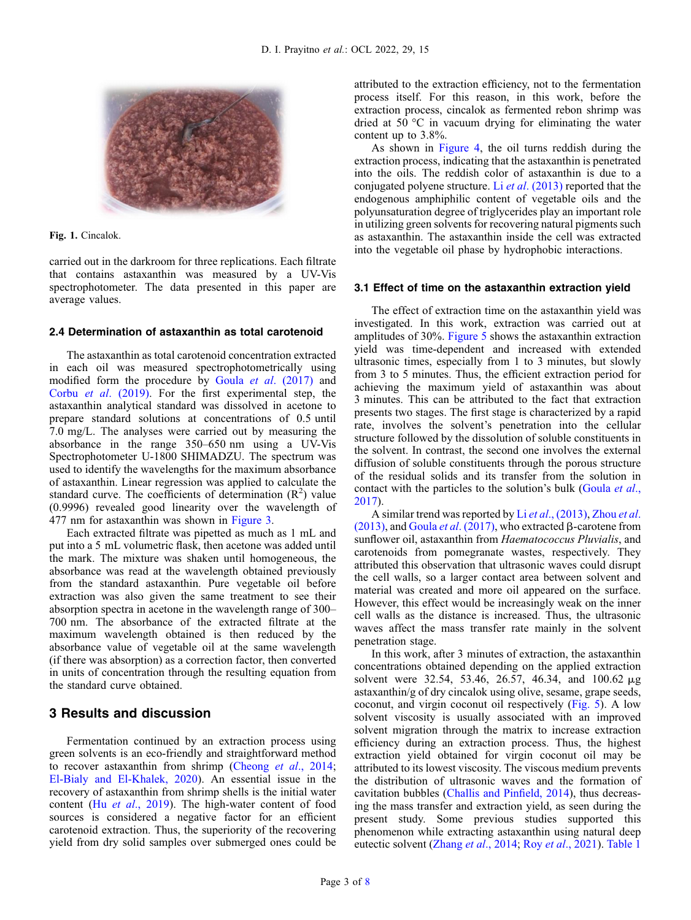<span id="page-2-0"></span>

Fig. 1. Cincalok.

carried out in the darkroom for three replications. Each filtrate that contains astaxanthin was measured by a UV-Vis spectrophotometer. The data presented in this paper are average values.

## 2.4 Determination of astaxanthin as total carotenoid

The astaxanthin as total carotenoid concentration extracted in each oil was measured spectrophotometrically using modified form the procedure by Goula et al[. \(2017\)](#page-6-0) and Corbu et al[. \(2019\).](#page-6-0) For the first experimental step, the astaxanthin analytical standard was dissolved in acetone to prepare standard solutions at concentrations of 0.5 until 7.0 mg/L. The analyses were carried out by measuring the absorbance in the range 350–650 nm using a UV-Vis Spectrophotometer U-1800 SHIMADZU. The spectrum was used to identify the wavelengths for the maximum absorbance of astaxanthin. Linear regression was applied to calculate the standard curve. The coefficients of determination  $(R^2)$  value (0.9996) revealed good linearity over the wavelength of 477 nm for astaxanthin was shown in [Figure 3.](#page-4-0)

Each extracted filtrate was pipetted as much as 1 mL and put into a 5 mL volumetric flask, then acetone was added until the mark. The mixture was shaken until homogeneous, the absorbance was read at the wavelength obtained previously from the standard astaxanthin. Pure vegetable oil before extraction was also given the same treatment to see their absorption spectra in acetone in the wavelength range of 300– 700 nm. The absorbance of the extracted filtrate at the maximum wavelength obtained is then reduced by the absorbance value of vegetable oil at the same wavelength (if there was absorption) as a correction factor, then converted in units of concentration through the resulting equation from the standard curve obtained.

## 3 Results and discussion

Fermentation continued by an extraction process using green solvents is an eco-friendly and straightforward method to recover astaxanthin from shrimp [\(Cheong](#page-6-0) et al., 2014; [El-Bialy and El-Khalek, 2020](#page-6-0)). An essential issue in the recovery of astaxanthin from shrimp shells is the initial water content (Hu et al[., 2019](#page-6-0)). The high-water content of food sources is considered a negative factor for an efficient carotenoid extraction. Thus, the superiority of the recovering yield from dry solid samples over submerged ones could be attributed to the extraction efficiency, not to the fermentation process itself. For this reason, in this work, before the extraction process, cincalok as fermented rebon shrimp was dried at  $50^{\circ}$ C in vacuum drying for eliminating the water content up to 3.8%.

As shown in [Figure 4,](#page-4-0) the oil turns reddish during the extraction process, indicating that the astaxanthin is penetrated into the oils. The reddish color of astaxanthin is due to a conjugated polyene structure. Li et al[. \(2013\)](#page-7-0) reported that the endogenous amphiphilic content of vegetable oils and the polyunsaturation degree of triglycerides play an important role in utilizing green solvents for recovering natural pigments such as astaxanthin. The astaxanthin inside the cell was extracted into the vegetable oil phase by hydrophobic interactions.

#### 3.1 Effect of time on the astaxanthin extraction yield

The effect of extraction time on the astaxanthin yield was investigated. In this work, extraction was carried out at amplitudes of 30%. [Figure 5](#page-4-0) shows the astaxanthin extraction yield was time-dependent and increased with extended ultrasonic times, especially from 1 to 3 minutes, but slowly from 3 to 5 minutes. Thus, the efficient extraction period for achieving the maximum yield of astaxanthin was about 3 minutes. This can be attributed to the fact that extraction presents two stages. The first stage is characterized by a rapid rate, involves the solvent's penetration into the cellular structure followed by the dissolution of soluble constituents in the solvent. In contrast, the second one involves the external diffusion of soluble constituents through the porous structure of the residual solids and its transfer from the solution in contact with the particles to the solution's bulk [\(Goula](#page-6-0) et al., [2017](#page-6-0)).

A similar trend was reported by Li et al[., \(2013\)](#page-7-0), [Zhou](#page-7-0) et al. [\(2013\),](#page-7-0) and Goula et al[. \(2017\),](#page-6-0) who extracted  $\beta$ -carotene from sunflower oil, astaxanthin from Haematococcus Pluvialis, and carotenoids from pomegranate wastes, respectively. They attributed this observation that ultrasonic waves could disrupt the cell walls, so a larger contact area between solvent and material was created and more oil appeared on the surface. However, this effect would be increasingly weak on the inner cell walls as the distance is increased. Thus, the ultrasonic waves affect the mass transfer rate mainly in the solvent penetration stage.

In this work, after 3 minutes of extraction, the astaxanthin concentrations obtained depending on the applied extraction solvent were 32.54, 53.46, 26.57, 46.34, and 100.62  $\mu$ g astaxanthin/g of dry cincalok using olive, sesame, grape seeds, coconut, and virgin coconut oil respectively [\(Fig. 5](#page-4-0)). A low solvent viscosity is usually associated with an improved solvent migration through the matrix to increase extraction efficiency during an extraction process. Thus, the highest extraction yield obtained for virgin coconut oil may be attributed to its lowest viscosity. The viscous medium prevents the distribution of ultrasonic waves and the formation of cavitation bubbles [\(Challis and Pin](#page-6-0)field, 2014), thus decreasing the mass transfer and extraction yield, as seen during the present study. Some previous studies supported this phenomenon while extracting astaxanthin using natural deep eutectic solvent (Zhang et al[., 2014;](#page-7-0) Roy et al[., 2021\)](#page-7-0). [Table 1](#page-5-0)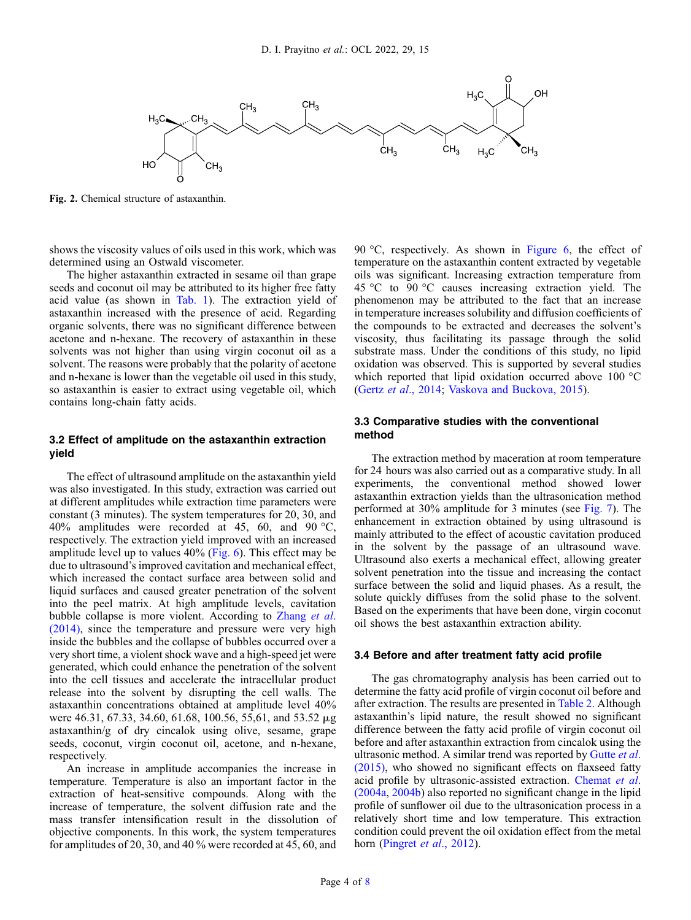<span id="page-3-0"></span>

Fig. 2. Chemical structure of astaxanthin.

shows the viscosity values of oils used in this work, which was determined using an Ostwald viscometer.

The higher astaxanthin extracted in sesame oil than grape seeds and coconut oil may be attributed to its higher free fatty acid value (as shown in [Tab. 1\)](#page-5-0). The extraction yield of astaxanthin increased with the presence of acid. Regarding organic solvents, there was no significant difference between acetone and n-hexane. The recovery of astaxanthin in these solvents was not higher than using virgin coconut oil as a solvent. The reasons were probably that the polarity of acetone and n-hexane is lower than the vegetable oil used in this study, so astaxanthin is easier to extract using vegetable oil, which contains long-chain fatty acids.

## 3.2 Effect of amplitude on the astaxanthin extraction yield

The effect of ultrasound amplitude on the astaxanthin yield was also investigated. In this study, extraction was carried out at different amplitudes while extraction time parameters were constant (3 minutes). The system temperatures for 20, 30, and 40% amplitudes were recorded at 45, 60, and 90 °C, respectively. The extraction yield improved with an increased amplitude level up to values 40% ([Fig. 6](#page-5-0)). This effect may be due to ultrasound's improved cavitation and mechanical effect, which increased the contact surface area between solid and liquid surfaces and caused greater penetration of the solvent into the peel matrix. At high amplitude levels, cavitation bubble collapse is more violent. According to [Zhang](#page-7-0) *et al.* [\(2014\)](#page-7-0), since the temperature and pressure were very high inside the bubbles and the collapse of bubbles occurred over a very short time, a violent shock wave and a high-speed jet were generated, which could enhance the penetration of the solvent into the cell tissues and accelerate the intracellular product release into the solvent by disrupting the cell walls. The astaxanthin concentrations obtained at amplitude level 40% were 46.31, 67.33, 34.60, 61.68, 100.56, 55,61, and 53.52 mg astaxanthin/g of dry cincalok using olive, sesame, grape seeds, coconut, virgin coconut oil, acetone, and n-hexane, respectively.

An increase in amplitude accompanies the increase in temperature. Temperature is also an important factor in the extraction of heat-sensitive compounds. Along with the increase of temperature, the solvent diffusion rate and the mass transfer intensification result in the dissolution of objective components. In this work, the system temperatures for amplitudes of 20, 30, and 40 % were recorded at 45, 60, and 90 °C, respectively. As shown in [Figure 6,](#page-5-0) the effect of temperature on the astaxanthin content extracted by vegetable oils was significant. Increasing extraction temperature from 45 °C to 90 °C causes increasing extraction yield. The phenomenon may be attributed to the fact that an increase in temperature increases solubility and diffusion coefficients of the compounds to be extracted and decreases the solvent's viscosity, thus facilitating its passage through the solid substrate mass. Under the conditions of this study, no lipid oxidation was observed. This is supported by several studies which reported that lipid oxidation occurred above 100 °C (Gertz et al[., 2014;](#page-6-0) [Vaskova and Buckova, 2015\)](#page-7-0).

## 3.3 Comparative studies with the conventional method

The extraction method by maceration at room temperature for 24 hours was also carried out as a comparative study. In all experiments, the conventional method showed lower astaxanthin extraction yields than the ultrasonication method performed at 30% amplitude for 3 minutes (see [Fig. 7](#page-5-0)). The enhancement in extraction obtained by using ultrasound is mainly attributed to the effect of acoustic cavitation produced in the solvent by the passage of an ultrasound wave. Ultrasound also exerts a mechanical effect, allowing greater solvent penetration into the tissue and increasing the contact surface between the solid and liquid phases. As a result, the solute quickly diffuses from the solid phase to the solvent. Based on the experiments that have been done, virgin coconut oil shows the best astaxanthin extraction ability.

#### 3.4 Before and after treatment fatty acid profile

The gas chromatography analysis has been carried out to determine the fatty acid profile of virgin coconut oil before and after extraction. The results are presented in [Table 2](#page-6-0). Although astaxanthin's lipid nature, the result showed no significant difference between the fatty acid profile of virgin coconut oil before and after astaxanthin extraction from cincalok using the ultrasonic method. A similar trend was reported by [Gutte](#page-6-0) et al. [\(2015\),](#page-6-0) who showed no significant effects on flaxseed fatty acid profile by ultrasonic-assisted extraction. [Chemat](#page-6-0) et al. [\(2004a](#page-6-0), [2004b\)](#page-6-0) also reported no significant change in the lipid profile of sunflower oil due to the ultrasonication process in a relatively short time and low temperature. This extraction condition could prevent the oil oxidation effect from the metal horn [\(Pingret](#page-7-0) *et al.*, 2012).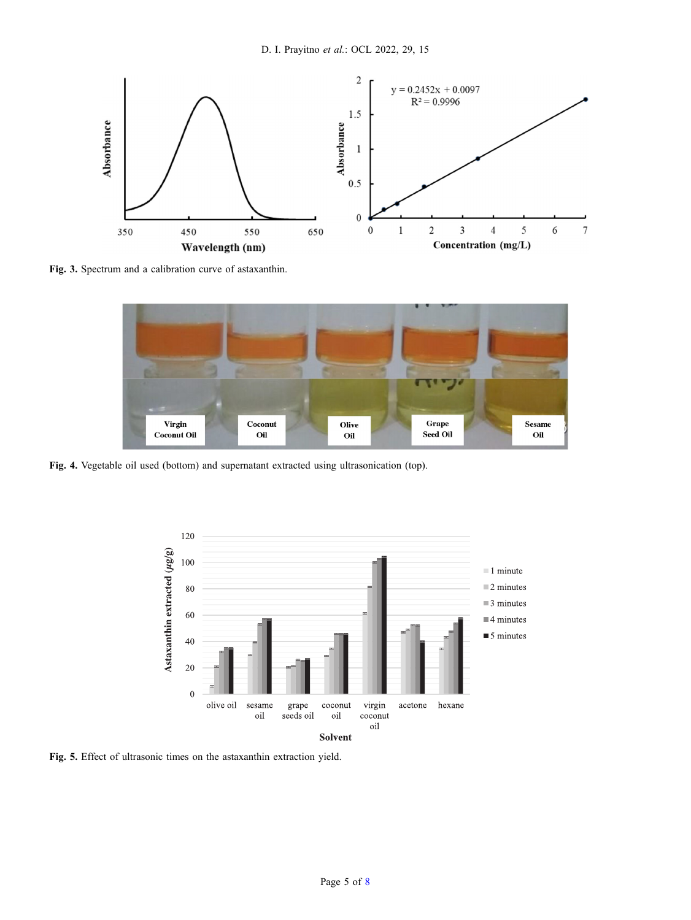<span id="page-4-0"></span>

Fig. 3. Spectrum and a calibration curve of astaxanthin.



Fig. 4. Vegetable oil used (bottom) and supernatant extracted using ultrasonication (top).



Fig. 5. Effect of ultrasonic times on the astaxanthin extraction yield.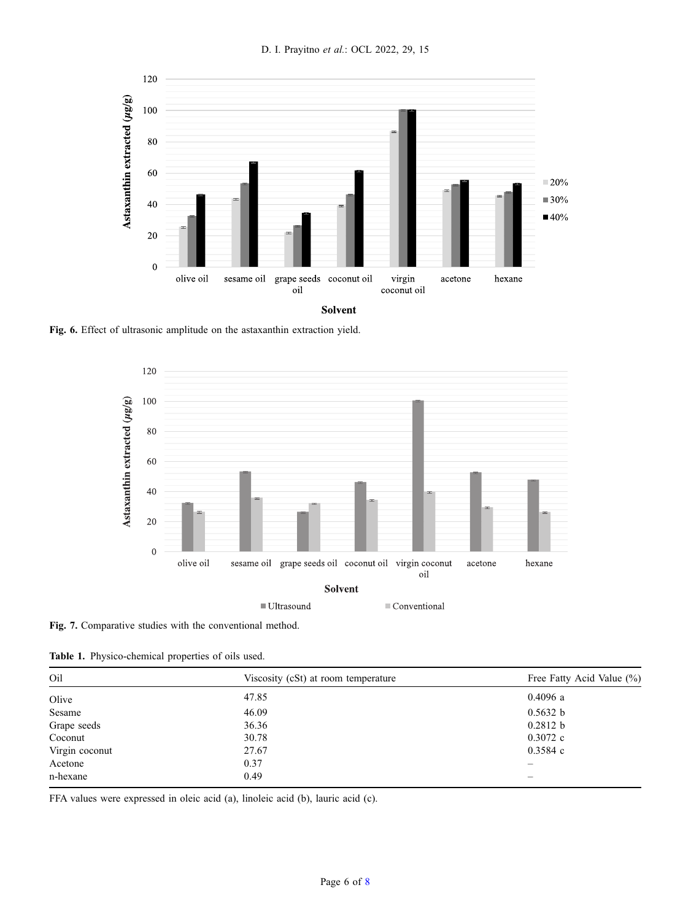<span id="page-5-0"></span>

Fig. 6. Effect of ultrasonic amplitude on the astaxanthin extraction yield.



Fig. 7. Comparative studies with the conventional method.

Table 1. Physico-chemical properties of oils used.

| Oil            | Viscosity (cSt) at room temperature | Free Fatty Acid Value (%) |
|----------------|-------------------------------------|---------------------------|
| Olive          | 47.85                               | 0.4096a                   |
| Sesame         | 46.09                               | 0.5632 b                  |
| Grape seeds    | 36.36                               | 0.2812 b                  |
| Coconut        | 30.78                               | $0.3072$ c                |
| Virgin coconut | 27.67                               | 0.3584c                   |
| Acetone        | 0.37                                | $\overline{\phantom{0}}$  |
| n-hexane       | 0.49                                |                           |

FFA values were expressed in oleic acid (a), linoleic acid (b), lauric acid (c).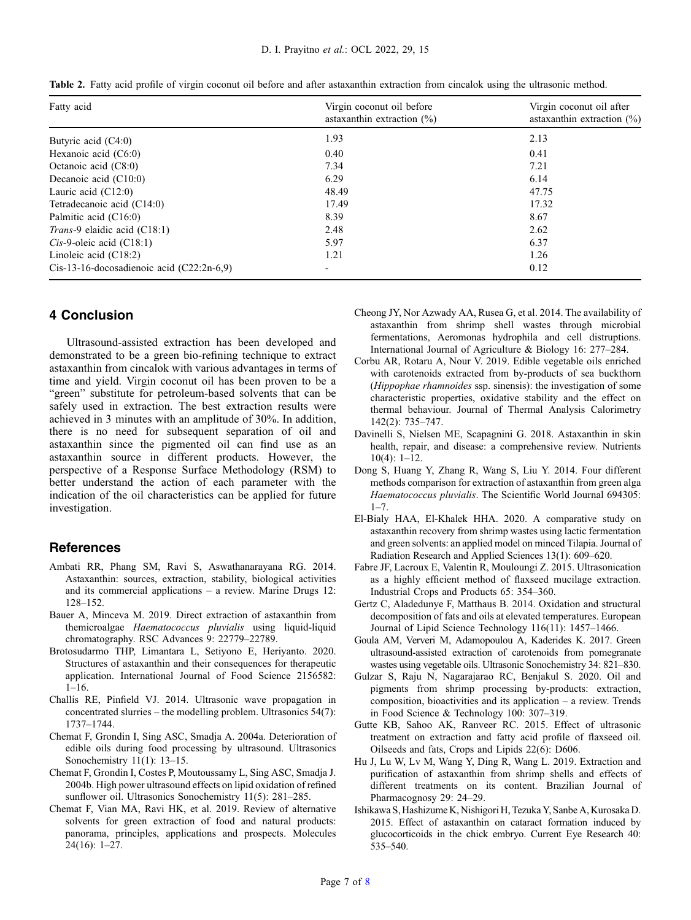| Fatty acid                                  | Virgin coconut oil before<br>astaxanthin extraction $(\% )$ | Virgin coconut oil after<br>astaxanthin extraction $(\%)$<br>2.13 |
|---------------------------------------------|-------------------------------------------------------------|-------------------------------------------------------------------|
| Butyric acid (C4:0)                         | 1.93                                                        |                                                                   |
| Hexanoic acid (C6:0)                        | 0.40                                                        | 0.41                                                              |
| Octanoic acid $(C8:0)$                      | 7.34                                                        | 7.21                                                              |
| Decanoic acid $(C10:0)$                     | 6.29                                                        | 6.14                                                              |
| Lauric acid $(C12:0)$                       | 48.49                                                       | 47.75                                                             |
| Tetradecanoic acid (C14:0)                  | 17.49                                                       | 17.32                                                             |
| Palmitic acid (C16:0)                       | 8.39                                                        | 8.67                                                              |
| Trans-9 elaidic acid (C18:1)                | 2.48                                                        | 2.62                                                              |
| $Cis-9$ -oleic acid $(C18:1)$               | 5.97                                                        | 6.37                                                              |
| Linoleic acid $(C18:2)$                     | 1.21                                                        | 1.26                                                              |
| $Cis-13-16-docosadienoic acid (C22:2n-6.9)$ |                                                             | 0.12                                                              |

<span id="page-6-0"></span>Table 2. Fatty acid profile of virgin coconut oil before and after astaxanthin extraction from cincalok using the ultrasonic method.

## 4 Conclusion

Ultrasound-assisted extraction has been developed and demonstrated to be a green bio-refining technique to extract astaxanthin from cincalok with various advantages in terms of time and yield. Virgin coconut oil has been proven to be a "green" substitute for petroleum-based solvents that can be safely used in extraction. The best extraction results were achieved in 3 minutes with an amplitude of 30%. In addition, there is no need for subsequent separation of oil and astaxanthin since the pigmented oil can find use as an astaxanthin source in different products. However, the perspective of a Response Surface Methodology (RSM) to better understand the action of each parameter with the indication of the oil characteristics can be applied for future investigation.

## **References**

- Ambati RR, Phang SM, Ravi S, Aswathanarayana RG. 2014. Astaxanthin: sources, extraction, stability, biological activities and its commercial applications – a review. Marine Drugs 12: 128–152.
- Bauer A, Minceva M. 2019. Direct extraction of astaxanthin from themicroalgae Haematococcus pluvialis using liquid-liquid chromatography. RSC Advances 9: 22779–22789.
- Brotosudarmo THP, Limantara L, Setiyono E, Heriyanto. 2020. Structures of astaxanthin and their consequences for therapeutic application. International Journal of Food Science 2156582: 1–16.
- Challis RE, Pinfield VJ. 2014. Ultrasonic wave propagation in concentrated slurries – the modelling problem. Ultrasonics 54(7): 1737–1744.
- Chemat F, Grondin I, Sing ASC, Smadja A. 2004a. Deterioration of edible oils during food processing by ultrasound. Ultrasonics Sonochemistry 11(1): 13–15.
- Chemat F, Grondin I, Costes P, Moutoussamy L, Sing ASC, Smadja J. 2004b. High power ultrasound effects on lipid oxidation of refined sunflower oil. Ultrasonics Sonochemistry 11(5): 281-285.
- Chemat F, Vian MA, Ravi HK, et al. 2019. Review of alternative solvents for green extraction of food and natural products: panorama, principles, applications and prospects. Molecules 24(16): 1–27.
- Cheong JY, Nor Azwady AA, Rusea G, et al. 2014. The availability of astaxanthin from shrimp shell wastes through microbial fermentations, Aeromonas hydrophila and cell distruptions. International Journal of Agriculture & Biology 16: 277–284.
- Corbu AR, Rotaru A, Nour V. 2019. Edible vegetable oils enriched with carotenoids extracted from by-products of sea buckthorn (Hippophae rhamnoides ssp. sinensis): the investigation of some characteristic properties, oxidative stability and the effect on thermal behaviour. Journal of Thermal Analysis Calorimetry 142(2): 735–747.
- Davinelli S, Nielsen ME, Scapagnini G. 2018. Astaxanthin in skin health, repair, and disease: a comprehensive review. Nutrients 10(4): 1–12.
- Dong S, Huang Y, Zhang R, Wang S, Liu Y. 2014. Four different methods comparison for extraction of astaxanthin from green alga Haematococcus pluvialis. The Scientific World Journal 694305:  $1 - 7$ .
- El-Bialy HAA, El-Khalek HHA. 2020. A comparative study on astaxanthin recovery from shrimp wastes using lactic fermentation and green solvents: an applied model on minced Tilapia. Journal of Radiation Research and Applied Sciences 13(1): 609–620.
- Fabre JF, Lacroux E, Valentin R, Mouloungi Z. 2015. Ultrasonication as a highly efficient method of flaxseed mucilage extraction. Industrial Crops and Products 65: 354–360.
- Gertz C, Aladedunye F, Matthaus B. 2014. Oxidation and structural decomposition of fats and oils at elevated temperatures. European Journal of Lipid Science Technology 116(11): 1457–1466.
- Goula AM, Ververi M, Adamopoulou A, Kaderides K. 2017. Green ultrasound-assisted extraction of carotenoids from pomegranate wastes using vegetable oils. Ultrasonic Sonochemistry 34: 821–830.
- Gulzar S, Raju N, Nagarajarao RC, Benjakul S. 2020. Oil and pigments from shrimp processing by-products: extraction, composition, bioactivities and its application – a review. Trends in Food Science & Technology 100: 307–319.
- Gutte KB, Sahoo AK, Ranveer RC. 2015. Effect of ultrasonic treatment on extraction and fatty acid profile of flaxseed oil. Oilseeds and fats, Crops and Lipids 22(6): D606.
- Hu J, Lu W, Lv M, Wang Y, Ding R, Wang L. 2019. Extraction and purification of astaxanthin from shrimp shells and effects of different treatments on its content. Brazilian Journal of Pharmacognosy 29: 24–29.
- Ishikawa S, Hashizume K, Nishigori H, Tezuka Y, Sanbe A, Kurosaka D. 2015. Effect of astaxanthin on cataract formation induced by glucocorticoids in the chick embryo. Current Eye Research 40: 535–540.